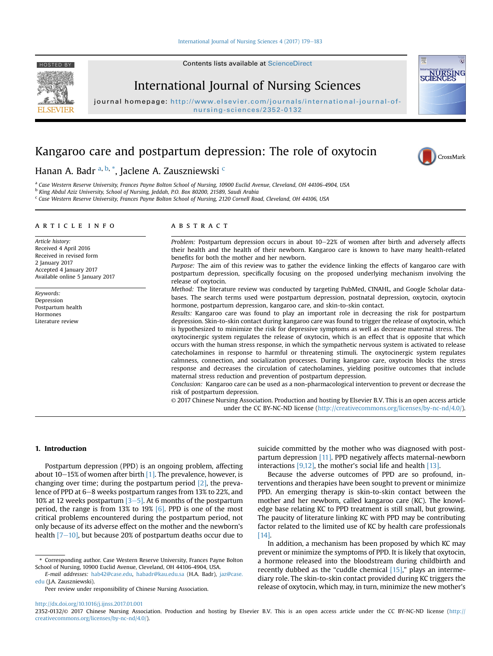## [International Journal of Nursing Sciences 4 \(2017\) 179](http://dx.doi.org/10.1016/j.ijnss.2017.01.001)-[183](http://dx.doi.org/10.1016/j.ijnss.2017.01.001)

HOSTED BY Contents lists available at [ScienceDirect](www.sciencedirect.com/science/journal/23520132)



International Journal of Nursing Sciences

journal homepage: [http://www.elsevier.com/journals/international-journal-of](http://www.elsevier.com/journals/international-journal-of-nursing-sciences/2352-0132)nursing-sciences/2352-0132

# Kangaroo care and postpartum depression: The role of oxytocin



## Hanan A. Badr <sup>a, b,</sup> \*, Jaclene A. Zauszniewski <sup>c</sup>

a Case Western Reserve University, Frances Payne Bolton School of Nursing, 10900 Euclid Avenue, Cleveland, OH 44106-4904, USA

<sup>b</sup> King Abdul Aziz University, School of Nursing, Jeddah, P.O. Box 80200, 21589, Saudi Arabia

<sup>c</sup> Case Western Reserve University, Frances Payne Bolton School of Nursing, 2120 Cornell Road, Cleveland, OH 44106, USA

## article info

Article history: Received 4 April 2016 Received in revised form 2 January 2017 Accepted 4 January 2017 Available online 5 January 2017

Keywords: Depression Postpartum health Hormones Literature review

## **ABSTRACT**

Problem: Postpartum depression occurs in about  $10-22\%$  of women after birth and adversely affects their health and the health of their newborn. Kangaroo care is known to have many health-related benefits for both the mother and her newborn.

Purpose: The aim of this review was to gather the evidence linking the effects of kangaroo care with postpartum depression, specifically focusing on the proposed underlying mechanism involving the release of oxytocin.

Method: The literature review was conducted by targeting PubMed, CINAHL, and Google Scholar databases. The search terms used were postpartum depression, postnatal depression, oxytocin, oxytocin hormone, postpartum depression, kangaroo care, and skin-to-skin contact.

Results: Kangaroo care was found to play an important role in decreasing the risk for postpartum depression. Skin-to-skin contact during kangaroo care was found to trigger the release of oxytocin, which is hypothesized to minimize the risk for depressive symptoms as well as decrease maternal stress. The oxytocinergic system regulates the release of oxytocin, which is an effect that is opposite that which occurs with the human stress response, in which the sympathetic nervous system is activated to release catecholamines in response to harmful or threatening stimuli. The oxytocinergic system regulates calmness, connection, and socialization processes. During kangaroo care, oxytocin blocks the stress response and decreases the circulation of catecholamines, yielding positive outcomes that include maternal stress reduction and prevention of postpartum depression.

Conclusion: Kangaroo care can be used as a non-pharmacological intervention to prevent or decrease the risk of postpartum depression.

© 2017 Chinese Nursing Association. Production and hosting by Elsevier B.V. This is an open access article under the CC BY-NC-ND license [\(http://creativecommons.org/licenses/by-nc-nd/4.0/](http://creativecommons.org/licenses/by-nc-nd/4.0/)).

## 1. Introduction

Postpartum depression (PPD) is an ongoing problem, affecting about 10–15% of women after birth  $[1]$ . The prevalence, however, is changing over time; during the postpartum period [\[2\],](#page-3-0) the prevalence of PPD at 6–8 weeks postpartum ranges from 13% to 22%, and 10% at 12 weeks postpartum  $[3-5]$  $[3-5]$  $[3-5]$ . At 6 months of the postpartum period, the range is from 13% to 19% [\[6\].](#page-3-0) PPD is one of the most critical problems encountered during the postpartum period, not only because of its adverse effect on the mother and the newborn's health  $[7-10]$  $[7-10]$  $[7-10]$ , but because 20% of postpartum deaths occur due to

\* Corresponding author. Case Western Reserve University, Frances Payne Bolton School of Nursing, 10900 Euclid Avenue, Cleveland, OH 44106-4904, USA.

Peer review under responsibility of Chinese Nursing Association.

suicide committed by the mother who was diagnosed with postpartum depression [\[11\]](#page-3-0). PPD negatively affects maternal-newborn interactions [\[9,12\],](#page-3-0) the mother's social life and health [\[13\].](#page-3-0)

Because the adverse outcomes of PPD are so profound, interventions and therapies have been sought to prevent or minimize PPD. An emerging therapy is skin-to-skin contact between the mother and her newborn, called kangaroo care (KC). The knowledge base relating KC to PPD treatment is still small, but growing. The paucity of literature linking KC with PPD may be contributing factor related to the limited use of KC by health care professionals [\[14\]](#page-3-0).

In addition, a mechanism has been proposed by which KC may prevent or minimize the symptoms of PPD. It is likely that oxytocin, a hormone released into the bloodstream during childbirth and recently dubbed as the "cuddle chemical  $[15]$ ," plays an intermediary role. The skin-to-skin contact provided during KC triggers the release of oxytocin, which may, in turn, minimize the new mother's

<http://dx.doi.org/10.1016/j.ijnss.2017.01.001>

E-mail addresses: [hab42@case.edu,](mailto:hab42@case.edu) [habadr@kau.edu.sa](mailto:habadr@kau.edu.sa) (H.A. Badr), [jaz@case.](mailto:jaz@case.edu) [edu](mailto:jaz@case.edu) (J.A. Zauszniewski).

<sup>2352-0132/</sup>© 2017 Chinese Nursing Association. Production and hosting by Elsevier B.V. This is an open access article under the CC BY-NC-ND license ([http://](http://creativecommons.org/licenses/by-nc-nd/4.0/) [creativecommons.org/licenses/by-nc-nd/4.0/](http://creativecommons.org/licenses/by-nc-nd/4.0/)).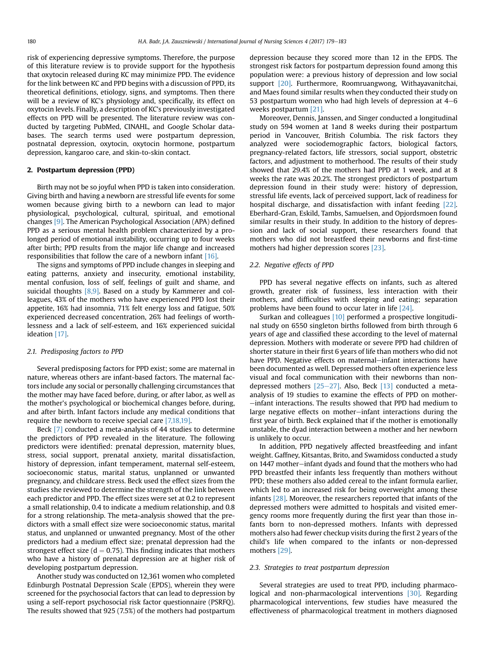risk of experiencing depressive symptoms. Therefore, the purpose of this literature review is to provide support for the hypothesis that oxytocin released during KC may minimize PPD. The evidence for the link between KC and PPD begins with a discussion of PPD, its theoretical definitions, etiology, signs, and symptoms. Then there will be a review of KC's physiology and, specifically, its effect on oxytocin levels. Finally, a description of KC's previously investigated effects on PPD will be presented. The literature review was conducted by targeting PubMed, CINAHL, and Google Scholar databases. The search terms used were postpartum depression, postnatal depression, oxytocin, oxytocin hormone, postpartum depression, kangaroo care, and skin-to-skin contact.

## 2. Postpartum depression (PPD)

Birth may not be so joyful when PPD is taken into consideration. Giving birth and having a newborn are stressful life events for some women because giving birth to a newborn can lead to major physiological, psychological, cultural, spiritual, and emotional changes [\[9\].](#page-3-0) The American Psychological Association (APA) defined PPD as a serious mental health problem characterized by a prolonged period of emotional instability, occurring up to four weeks after birth; PPD results from the major life change and increased responsibilities that follow the care of a newborn infant [\[16\]](#page-3-0).

The signs and symptoms of PPD include changes in sleeping and eating patterns, anxiety and insecurity, emotional instability, mental confusion, loss of self, feelings of guilt and shame, and suicidal thoughts [\[8,9\].](#page-3-0) Based on a study by Kammerer and colleagues, 43% of the mothers who have experienced PPD lost their appetite, 16% had insomnia, 71% felt energy loss and fatigue, 50% experienced decreased concentration, 26% had feelings of worthlessness and a lack of self-esteem, and 16% experienced suicidal ideation [\[17\].](#page-3-0)

#### 2.1. Predisposing factors to PPD

Several predisposing factors for PPD exist; some are maternal in nature, whereas others are infant-based factors. The maternal factors include any social or personally challenging circumstances that the mother may have faced before, during, or after labor, as well as the mother's psychological or biochemical changes before, during, and after birth. Infant factors include any medical conditions that require the newborn to receive special care [\[7,18,19\]](#page-3-0).

Beck [\[7\]](#page-3-0) conducted a meta-analysis of 44 studies to determine the predictors of PPD revealed in the literature. The following predictors were identified: prenatal depression, maternity blues, stress, social support, prenatal anxiety, marital dissatisfaction, history of depression, infant temperament, maternal self-esteem, socioeconomic status, marital status, unplanned or unwanted pregnancy, and childcare stress. Beck used the effect sizes from the studies she reviewed to determine the strength of the link between each predictor and PPD. The effect sizes were set at 0.2 to represent a small relationship, 0.4 to indicate a medium relationship, and 0.8 for a strong relationship. The meta-analysis showed that the predictors with a small effect size were socioeconomic status, marital status, and unplanned or unwanted pregnancy. Most of the other predictors had a medium effect size; prenatal depression had the strongest effect size ( $d = 0.75$ ). This finding indicates that mothers who have a history of prenatal depression are at higher risk of developing postpartum depression.

Another study was conducted on 12,361 women who completed Edinburgh Postnatal Depression Scale (EPDS), wherein they were screened for the psychosocial factors that can lead to depression by using a self-report psychosocial risk factor questionnaire (PSRFQ). The results showed that 925 (7.5%) of the mothers had postpartum depression because they scored more than 12 in the EPDS. The strongest risk factors for postpartum depression found among this population were: a previous history of depression and low social support [\[20\].](#page-3-0) Furthermore, Roomruangwong, Withayavanitchai, and Maes found similar results when they conducted their study on 53 postpartum women who had high levels of depression at  $4-6$ weeks postpartum [\[21\].](#page-4-0)

Moreover, Dennis, Janssen, and Singer conducted a longitudinal study on 594 women at 1and 8 weeks during their postpartum period in Vancouver, British Columbia. The risk factors they analyzed were sociodemographic factors, biological factors, pregnancy-related factors, life stressors, social support, obstetric factors, and adjustment to motherhood. The results of their study showed that 29.4% of the mothers had PPD at 1 week, and at 8 weeks the rate was 20.2%. The strongest predictors of postpartum depression found in their study were: history of depression, stressful life events, lack of perceived support, lack of readiness for hospital discharge, and dissatisfaction with infant feeding [\[22\].](#page-4-0) Eberhard-Gran, Eskild, Tambs, Samuelsen, and Opjordsmoen found similar results in their study. In addition to the history of depression and lack of social support, these researchers found that mothers who did not breastfeed their newborns and first-time mothers had higher depression scores [\[23\]](#page-4-0).

## 2.2. Negative effects of PPD

PPD has several negative effects on infants, such as altered growth, greater risk of fussiness, less interaction with their mothers, and difficulties with sleeping and eating; separation problems have been found to occur later in life [\[24\].](#page-4-0)

Surkan and colleagues [\[10\]](#page-3-0) performed a prospective longitudinal study on 6550 singleton births followed from birth through 6 years of age and classified these according to the level of maternal depression. Mothers with moderate or severe PPD had children of shorter stature in their first 6 years of life than mothers who did not have PPD. Negative effects on maternal-infant interactions have been documented as well. Depressed mothers often experience less visual and focal communication with their newborns than nondepressed mothers  $[25-27]$  $[25-27]$  $[25-27]$ . Also, Beck  $[13]$  conducted a metaanalysis of 19 studies to examine the effects of PPD on mother- $-$ infant interactions. The results showed that PPD had medium to large negative effects on mother-infant interactions during the first year of birth. Beck explained that if the mother is emotionally unstable, the dyad interaction between a mother and her newborn is unlikely to occur.

In addition, PPD negatively affected breastfeeding and infant weight. Gaffney, Kitsantas, Brito, and Swamidoss conducted a study on 1447 mother-infant dyads and found that the mothers who had PPD breastfed their infants less frequently than mothers without PPD; these mothers also added cereal to the infant formula earlier, which led to an increased risk for being overweight among these infants [\[28\]](#page-4-0). Moreover, the researchers reported that infants of the depressed mothers were admitted to hospitals and visited emergency rooms more frequently during the first year than those infants born to non-depressed mothers. Infants with depressed mothers also had fewer checkup visits during the first 2 years of the child's life when compared to the infants or non-depressed mothers [\[29\]](#page-4-0).

#### 2.3. Strategies to treat postpartum depression

Several strategies are used to treat PPD, including pharmaco-logical and non-pharmacological interventions [\[30\].](#page-4-0) Regarding pharmacological interventions, few studies have measured the effectiveness of pharmacological treatment in mothers diagnosed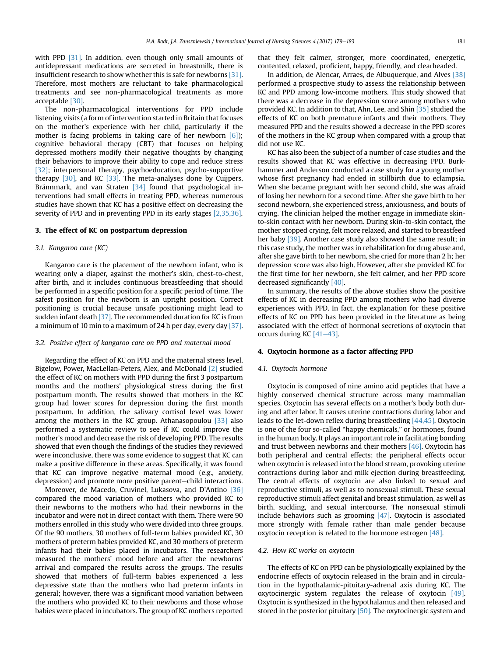with PPD [\[31\].](#page-4-0) In addition, even though only small amounts of antidepressant medications are secreted in breastmilk, there is insufficient research to show whether this is safe for newborns [\[31\].](#page-4-0) Therefore, most mothers are reluctant to take pharmacological treatments and see non-pharmacological treatments as more acceptable [\[30\]](#page-4-0).

The non-pharmacological interventions for PPD include listening visits (a form of intervention started in Britain that focuses on the mother's experience with her child, particularly if the mother is facing problems in taking care of her newborn [\[6\]\)](#page-3-0); cognitive behavioral therapy (CBT) that focuses on helping depressed mothers modify their negative thoughts by changing their behaviors to improve their ability to cope and reduce stress [\[32\];](#page-4-0) interpersonal therapy, psychoeducation, psycho-supportive therapy [\[30\],](#page-4-0) and KC [\[33\].](#page-4-0) The meta-analyses done by Cuijpers, Brännmark, and van Straten [\[34\]](#page-4-0) found that psychological interventions had small effects in treating PPD, whereas numerous studies have shown that KC has a positive effect on decreasing the severity of PPD and in preventing PPD in its early stages [\[2,35,36\]](#page-3-0).

## 3. The effect of KC on postpartum depression

## 3.1. Kangaroo care (KC)

Kangaroo care is the placement of the newborn infant, who is wearing only a diaper, against the mother's skin, chest-to-chest, after birth, and it includes continuous breastfeeding that should be performed in a specific position for a specific period of time. The safest position for the newborn is an upright position. Correct positioning is crucial because unsafe positioning might lead to sudden infant death [\[37\]](#page-4-0). The recommended duration for KC is from a minimum of 10 min to a maximum of 24 h per day, every day [\[37\].](#page-4-0)

## 3.2. Positive effect of kangaroo care on PPD and maternal mood

Regarding the effect of KC on PPD and the maternal stress level, Bigelow, Power, MacLellan-Peters, Alex, and McDonald [\[2\]](#page-3-0) studied the effect of KC on mothers with PPD during the first 3 postpartum months and the mothers' physiological stress during the first postpartum month. The results showed that mothers in the KC group had lower scores for depression during the first month postpartum. In addition, the salivary cortisol level was lower among the mothers in the KC group. Athanasopoulou [\[33\]](#page-4-0) also performed a systematic review to see if KC could improve the mother's mood and decrease the risk of developing PPD. The results showed that even though the findings of the studies they reviewed were inconclusive, there was some evidence to suggest that KC can make a positive difference in these areas. Specifically, it was found that KC can improve negative maternal mood (e.g., anxiety, depression) and promote more positive parent-child interactions.

Moreover, de Macedo, Cruvinel, Lukasova, and D'Antino [\[36\]](#page-4-0) compared the mood variation of mothers who provided KC to their newborns to the mothers who had their newborns in the incubator and were not in direct contact with them. There were 90 mothers enrolled in this study who were divided into three groups. Of the 90 mothers, 30 mothers of full-term babies provided KC, 30 mothers of preterm babies provided KC, and 30 mothers of preterm infants had their babies placed in incubators. The researchers measured the mothers' mood before and after the newborns' arrival and compared the results across the groups. The results showed that mothers of full-term babies experienced a less depressive state than the mothers who had preterm infants in general; however, there was a significant mood variation between the mothers who provided KC to their newborns and those whose babies were placed in incubators. The group of KC mothers reported that they felt calmer, stronger, more coordinated, energetic, contented, relaxed, proficient, happy, friendly, and clearheaded.

In addition, de Alencar, Arraes, de Albuquerque, and Alves [\[38\]](#page-4-0) performed a prospective study to assess the relationship between KC and PPD among low-income mothers. This study showed that there was a decrease in the depression score among mothers who provided KC. In addition to that, Ahn, Lee, and Shin [\[35\]](#page-4-0) studied the effects of KC on both premature infants and their mothers. They measured PPD and the results showed a decrease in the PPD scores of the mothers in the KC group when compared with a group that did not use KC.

KC has also been the subject of a number of case studies and the results showed that KC was effective in decreasing PPD. Burkhammer and Anderson conducted a case study for a young mother whose first pregnancy had ended in stillbirth due to eclampsia. When she became pregnant with her second child, she was afraid of losing her newborn for a second time. After she gave birth to her second newborn, she experienced stress, anxiousness, and bouts of crying. The clinician helped the mother engage in immediate skinto-skin contact with her newborn. During skin-to-skin contact, the mother stopped crying, felt more relaxed, and started to breastfeed her baby [\[39\].](#page-4-0) Another case study also showed the same result; in this case study, the mother was in rehabilitation for drug abuse and, after she gave birth to her newborn, she cried for more than 2 h; her depression score was also high. However, after she provided KC for the first time for her newborn, she felt calmer, and her PPD score decreased significantly [\[40\].](#page-4-0)

In summary, the results of the above studies show the positive effects of KC in decreasing PPD among mothers who had diverse experiences with PPD. In fact, the explanation for these positive effects of KC on PPD has been provided in the literature as being associated with the effect of hormonal secretions of oxytocin that occurs during KC  $[41-43]$  $[41-43]$  $[41-43]$ .

#### 4. Oxytocin hormone as a factor affecting PPD

#### 4.1. Oxytocin hormone

Oxytocin is composed of nine amino acid peptides that have a highly conserved chemical structure across many mammalian species. Oxytocin has several effects on a mother's body both during and after labor. It causes uterine contractions during labor and leads to the let-down reflex during breastfeeding [\[44,45\].](#page-4-0) Oxytocin is one of the four so-called "happy chemicals," or hormones, found in the human body. It plays an important role in facilitating bonding and trust between newborns and their mothers  $[46]$ . Oxytocin has both peripheral and central effects; the peripheral effects occur when oxytocin is released into the blood stream, provoking uterine contractions during labor and milk ejection during breastfeeding. The central effects of oxytocin are also linked to sexual and reproductive stimuli, as well as to nonsexual stimuli. These sexual reproductive stimuli affect genital and breast stimulation, as well as birth, suckling, and sexual intercourse. The nonsexual stimuli include behaviors such as grooming  $[47]$ . Oxytocin is associated more strongly with female rather than male gender because oxytocin reception is related to the hormone estrogen [\[48\]](#page-4-0).

#### 4.2. How KC works on oxytocin

The effects of KC on PPD can be physiologically explained by the endocrine effects of oxytocin released in the brain and in circulation in the hypothalamic-pituitary-adrenal axis during KC. The oxytocinergic system regulates the release of oxytocin [\[49\].](#page-4-0) Oxytocin is synthesized in the hypothalamus and then released and stored in the posterior pituitary [\[50\]](#page-4-0). The oxytocinergic system and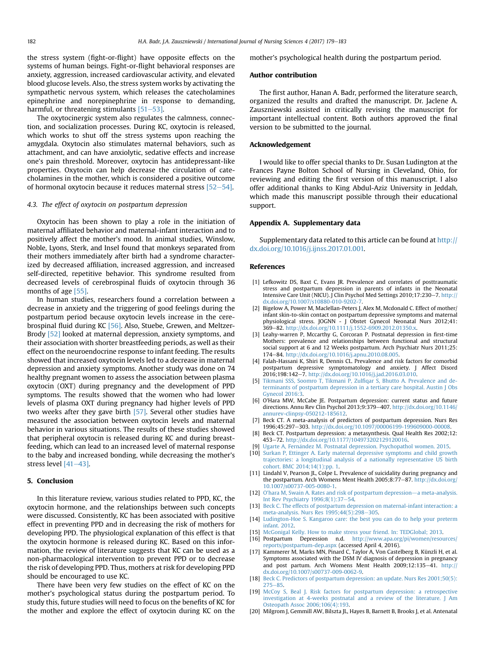<span id="page-3-0"></span>the stress system (fight-or-flight) have opposite effects on the systems of human beings. Fight-or-flight behavioral responses are anxiety, aggression, increased cardiovascular activity, and elevated blood glucose levels. Also, the stress system works by activating the sympathetic nervous system, which releases the catecholamines epinephrine and norepinephrine in response to demanding, harmful, or threatening stimulants  $[51-53]$  $[51-53]$ .

The oxytocinergic system also regulates the calmness, connection, and socialization processes. During KC, oxytocin is released, which works to shut off the stress systems upon reaching the amygdala. Oxytocin also stimulates maternal behaviors, such as attachment, and can have anxiolytic, sedative effects and increase one's pain threshold. Moreover, oxytocin has antidepressant-like properties. Oxytocin can help decrease the circulation of catecholamines in the mother, which is considered a positive outcome of hormonal oxytocin because it reduces maternal stress  $[52-54]$  $[52-54]$ .

## 4.3. The effect of oxytocin on postpartum depression

Oxytocin has been shown to play a role in the initiation of maternal affiliated behavior and maternal-infant interaction and to positively affect the mother's mood. In animal studies, Winslow, Noble, Lyons, Sterk, and Insel found that monkeys separated from their mothers immediately after birth had a syndrome characterized by decreased affiliation, increased aggression, and increased self-directed, repetitive behavior. This syndrome resulted from decreased levels of cerebrospinal fluids of oxytocin through 36 months of age [\[55\].](#page-4-0)

In human studies, researchers found a correlation between a decrease in anxiety and the triggering of good feelings during the postpartum period because oxytocin levels increase in the cerebrospinal fluid during KC [\[56\]](#page-4-0). Also, Stuebe, Grewen, and Meltzer-Brody [\[52\]](#page-4-0) looked at maternal depression, anxiety symptoms, and their association with shorter breastfeeding periods, as well as their effect on the neuroendocrine response to infant feeding. The results showed that increased oxytocin levels led to a decrease in maternal depression and anxiety symptoms. Another study was done on 74 healthy pregnant women to assess the association between plasma oxytocin (OXT) during pregnancy and the development of PPD symptoms. The results showed that the women who had lower levels of plasma OXT during pregnancy had higher levels of PPD two weeks after they gave birth [\[57\]](#page-4-0). Several other studies have measured the association between oxytocin levels and maternal behavior in various situations. The results of these studies showed that peripheral oxytocin is released during KC and during breastfeeding, which can lead to an increased level of maternal response to the baby and increased bonding, while decreasing the mother's stress level [\[41](#page-4-0)-[43\]](#page-4-0).

## 5. Conclusion

In this literature review, various studies related to PPD, KC, the oxytocin hormone, and the relationships between such concepts were discussed. Consistently, KC has been associated with positive effect in preventing PPD and in decreasing the risk of mothers for developing PPD. The physiological explanation of this effect is that the oxytocin hormone is released during KC. Based on this information, the review of literature suggests that KC can be used as a non-pharmacological intervention to prevent PPD or to decrease the risk of developing PPD. Thus, mothers at risk for developing PPD should be encouraged to use KC.

There have been very few studies on the effect of KC on the mother's psychological status during the postpartum period. To study this, future studies will need to focus on the benefits of KC for the mother and explore the effect of oxytocin during KC on the mother's psychological health during the postpartum period.

## Author contribution

The first author, Hanan A. Badr, performed the literature search, organized the results and drafted the manuscript. Dr. Jaclene A. Zauszniewski assisted in critically revising the manuscript for important intellectual content. Both authors approved the final version to be submitted to the journal.

## Acknowledgement

I would like to offer special thanks to Dr. Susan Ludington at the Frances Payne Bolton School of Nursing in Cleveland, Ohio, for reviewing and editing the first version of this manuscript. I also offer additional thanks to King Abdul-Aziz University in Jeddah, which made this manuscript possible through their educational support.

## Appendix A. Supplementary data

Supplementary data related to this article can be found at [http://](http://dx.doi.org/10.1016/j.ijnss.2017.01.001) [dx.doi.org/10.1016/j.ijnss.2017.01.001.](http://dx.doi.org/10.1016/j.ijnss.2017.01.001)

## References

- [1] Lefkowitz DS, Baxt C, Evans JR. Prevalence and correlates of posttraumatic stress and postpartum depression in parents of infants in the Neonatal Intensive Care Unit (NICU). J Clin Psychol Med Settings 2010;17:230-7. [http://](http://dx.doi.org/10.1007/s10880-010-9202-7) [dx.doi.org/10.1007/s10880-010-9202-7](http://dx.doi.org/10.1007/s10880-010-9202-7).
- [2] Bigelow A, Power M, Maclellan-Peters J, Alex M, Mcdonald C. Effect of mother/ infant skin-to-skin contact on postpartum depressive symptoms and maternal physiological stress. JOGNN - J Obstet Gynecol Neonatal Nurs 2012;41: 369-82. <http://dx.doi.org/10.1111/j.1552-6909.2012.01350.x>.
- [3] Leahy-warren P, Mccarthy G, Corcoran P. Postnatal depression in first-time Mothers: prevalence and relationships between functional and structural social support at 6 and 12 Weeks postpartum. Arch Psychiatr Nurs 2011;25: 174e84. [http://dx.doi.org/10.1016/j.apnu.2010.08.005.](http://dx.doi.org/10.1016/j.apnu.2010.08.005)
- [4] Falah-Hassani K, Shiri R, Dennis CL. Prevalence and risk factors for comorbid postpartum depressive symptomatology and anxiety. J Affect Disord  $2016;198;142-7.$  [http://dx.doi.org/10.1016/j.jad.2016.03.010.](http://dx.doi.org/10.1016/j.jad.2016.03.010)
- [5] [Tikmani SSS, Soomro T, Tikmani P, Zul](http://refhub.elsevier.com/S2352-0132(16)30044-8/sref5)fiqar S, Bhutto A. Prevalence and de[terminants of postpartum depression in a tertiary care hospital. Austin J Obs](http://refhub.elsevier.com/S2352-0132(16)30044-8/sref5) [Gynecol 2016:3.](http://refhub.elsevier.com/S2352-0132(16)30044-8/sref5)
- [6] O'Hara MW, McCabe JE. Postpartum depression: current status and future directions. Annu Rev Clin Psychol 2013;9:379-407. [http://dx.doi.org/10.1146/](http://dx.doi.org/10.1146/annurev-clinpsy-050212-185612) [annurev-clinpsy-050212-185612.](http://dx.doi.org/10.1146/annurev-clinpsy-050212-185612)
- [7] Beck CT. A meta-analysis of predictors of postpartum depression. Nurs Res<br>1996;45:297–303. <http://dx.doi.org/10.1097/00006199-199609000-00008>.
- [8] Beck CT. Postpartum depression: a metasynthesis. Qual Health Res 2002;12: 453e72. <http://dx.doi.org/10.1177/104973202129120016>.
- [9] Ugarte A, Fernández M. Postnatal depression. Psychopathol women. 2015.
- [10] [Surkan P, Ettinger A. Early maternal depressive symptoms and child growth](http://refhub.elsevier.com/S2352-0132(16)30044-8/sref10) [trajectories: a longitudinal analysis of a nationally representative US birth](http://refhub.elsevier.com/S2352-0132(16)30044-8/sref10) [cohort. BMC 2014;14\(1\):pp. 1](http://refhub.elsevier.com/S2352-0132(16)30044-8/sref10).
- [11] Lindahl V, Pearson JL, Colpe L. Prevalence of suicidality during pregnancy and the postpartum. Arch Womens Ment Health 2005;8:77-87. [http://dx.doi.org/](http://dx.doi.org/10.1007/s00737-005-0080-1) [10.1007/s00737-005-0080-1](http://dx.doi.org/10.1007/s00737-005-0080-1).
- [12] O'[hara M, Swain A. Rates and risk of postpartum depression](http://refhub.elsevier.com/S2352-0132(16)30044-8/sref12)—[a meta-analysis.](http://refhub.elsevier.com/S2352-0132(16)30044-8/sref12) Int Rev Psychiatry  $1996;8(1):37-54$ .
- [13] [Beck C. The effects of postpartum depression on maternal-infant interaction: a](http://refhub.elsevier.com/S2352-0132(16)30044-8/sref13) [meta-analysis. Nurs Res 1995;44\(5\):298](http://refhub.elsevier.com/S2352-0132(16)30044-8/sref13)-[305.](http://refhub.elsevier.com/S2352-0132(16)30044-8/sref13)
- [14] [Ludington-Hoe S. Kangaroo care: the best you can do to help your preterm](http://refhub.elsevier.com/S2352-0132(16)30044-8/sref14) [infant. 2012.](http://refhub.elsevier.com/S2352-0132(16)30044-8/sref14)
- [15] [McGonigal Kelly. How to make stress your friend. In: TEDGlobal; 2013](http://refhub.elsevier.com/S2352-0132(16)30044-8/sref15).
- [16] Postpartum Depression n.d. [http://www.apa.org/pi/women/resources/](http://www.apa.org/pi/women/resources/reports/postpartum-dep.aspx) [reports/postpartum-dep.aspx](http://www.apa.org/pi/women/resources/reports/postpartum-dep.aspx) (accessed April 4, 2016).
- [17] Kammerer M, Marks MN, Pinard C, Taylor A, Von Castelberg B, Künzli H, et al. Symptoms associated with the DSM IV diagnosis of depression in pregnancy and post partum. Arch Womens Ment Health  $2009;12:135-41$ . [http://](http://dx.doi.org/10.1007/s00737-009-0062-9) [dx.doi.org/10.1007/s00737-009-0062-9](http://dx.doi.org/10.1007/s00737-009-0062-9).
- [18] [Beck C. Predictors of postpartum depression: an update. Nurs Res 2001;50\(5\):](http://refhub.elsevier.com/S2352-0132(16)30044-8/sref18)  $275 - 85.$  $275 - 85.$  $275 - 85.$  $275 - 85.$
- [19] [McCoy S, Beal J. Risk factors for postpartum depression: a retrospective](http://refhub.elsevier.com/S2352-0132(16)30044-8/sref19) [investigation at 4-weeks postnatal and a review of the literature. J Am](http://refhub.elsevier.com/S2352-0132(16)30044-8/sref19) [Osteopath Assoc 2006;106\(4\):193.](http://refhub.elsevier.com/S2352-0132(16)30044-8/sref19)
- [20] Milgrom J, Gemmill AW, Bilszta JL, Hayes B, Barnett B, Brooks J, et al. Antenatal